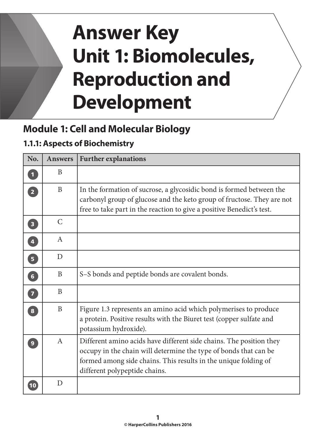# **Answer Key Unit 1: Biomolecules, Reproduction and Development**

# **Module 1: Cell and Molecular Biology**

## **1.1.1: Aspects of Biochemistry**

| No.                               | <b>Answers</b> | <b>Further explanations</b>                                                                                                                                                                                                                 |
|-----------------------------------|----------------|---------------------------------------------------------------------------------------------------------------------------------------------------------------------------------------------------------------------------------------------|
| $\overline{\mathbf{1}}$           | B              |                                                                                                                                                                                                                                             |
| $\overline{2}$                    | $\mathbf{B}$   | In the formation of sucrose, a glycosidic bond is formed between the<br>carbonyl group of glucose and the keto group of fructose. They are not<br>free to take part in the reaction to give a positive Benedict's test.                     |
| $\overline{\mathbf{3}}$           | $\mathsf{C}$   |                                                                                                                                                                                                                                             |
| $\overline{\mathbf{4}}$           | A              |                                                                                                                                                                                                                                             |
| $\overline{5}$                    | D              |                                                                                                                                                                                                                                             |
| $6 \nightharpoonup$               | B              | S-S bonds and peptide bonds are covalent bonds.                                                                                                                                                                                             |
| $\begin{bmatrix} 7 \end{bmatrix}$ | B              |                                                                                                                                                                                                                                             |
| $\overline{\mathbf{8}}$           | B              | Figure 1.3 represents an amino acid which polymerises to produce<br>a protein. Positive results with the Biuret test (copper sulfate and<br>potassium hydroxide).                                                                           |
| $\overline{9}$                    | $\mathbf{A}$   | Different amino acids have different side chains. The position they<br>occupy in the chain will determine the type of bonds that can be<br>formed among side chains. This results in the unique folding of<br>different polypeptide chains. |
| 10                                | D              |                                                                                                                                                                                                                                             |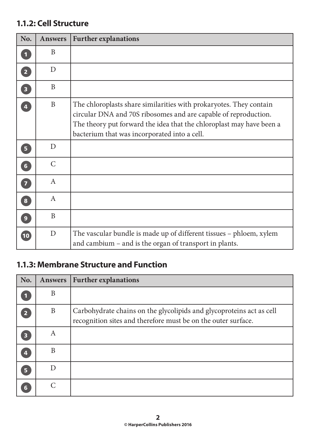#### **1.1.2: Cell Structure**

| No.                     | <b>Answers</b> | <b>Further explanations</b>                                                                                                                                                                                                                                   |
|-------------------------|----------------|---------------------------------------------------------------------------------------------------------------------------------------------------------------------------------------------------------------------------------------------------------------|
| $\blacksquare$          | B              |                                                                                                                                                                                                                                                               |
| $\overline{2}$          | D              |                                                                                                                                                                                                                                                               |
| $\overline{\mathbf{3}}$ | B              |                                                                                                                                                                                                                                                               |
| $\overline{4}$          | B              | The chloroplasts share similarities with prokaryotes. They contain<br>circular DNA and 70S ribosomes and are capable of reproduction.<br>The theory put forward the idea that the chloroplast may have been a<br>bacterium that was incorporated into a cell. |
| 5 <sup>2</sup>          | D              |                                                                                                                                                                                                                                                               |
| 6 <sup>1</sup>          | $\mathcal{C}$  |                                                                                                                                                                                                                                                               |
| $\overline{7}$          | A              |                                                                                                                                                                                                                                                               |
| $\bf{8}$                | A              |                                                                                                                                                                                                                                                               |
| 9 <sup>°</sup>          | B              |                                                                                                                                                                                                                                                               |
| $\boxed{10}$            | D              | The vascular bundle is made up of different tissues – phloem, xylem<br>and cambium – and is the organ of transport in plants.                                                                                                                                 |

#### **1.1.3: Membrane Structure and Function**

| No.                     | <b>Answers</b> | <b>Further explanations</b>                                                                                                           |
|-------------------------|----------------|---------------------------------------------------------------------------------------------------------------------------------------|
|                         | B              |                                                                                                                                       |
| $\overline{\mathbf{2}}$ | B              | Carbohydrate chains on the glycolipids and glycoproteins act as cell<br>recognition sites and therefore must be on the outer surface. |
| 3                       | A              |                                                                                                                                       |
| Д                       | B              |                                                                                                                                       |
| 5                       |                |                                                                                                                                       |
| 6                       |                |                                                                                                                                       |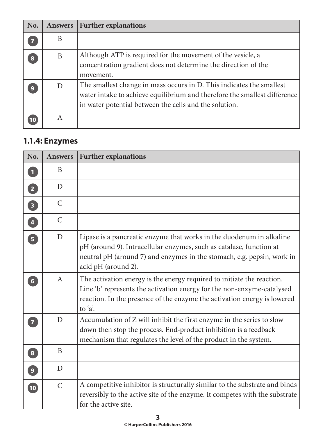| No.              | <b>Answers</b> | <b>Further explanations</b>                                                                                                                                                                                 |
|------------------|----------------|-------------------------------------------------------------------------------------------------------------------------------------------------------------------------------------------------------------|
| $\overline{7}$   | B              |                                                                                                                                                                                                             |
| $\bf{8}$         | B              | Although ATP is required for the movement of the vesicle, a<br>concentration gradient does not determine the direction of the<br>movement.                                                                  |
| $\boldsymbol{9}$ | $\Box$         | The smallest change in mass occurs in D. This indicates the smallest<br>water intake to achieve equilibrium and therefore the smallest difference<br>in water potential between the cells and the solution. |
|                  | A              |                                                                                                                                                                                                             |

#### **1.1.4: Enzymes**

| No.                     | <b>Answers</b>   | <b>Further explanations</b>                                                                                                                                                                                                                  |
|-------------------------|------------------|----------------------------------------------------------------------------------------------------------------------------------------------------------------------------------------------------------------------------------------------|
| $\overline{\mathbf{1}}$ | B                |                                                                                                                                                                                                                                              |
| $\boxed{2}$             | D                |                                                                                                                                                                                                                                              |
| $\overline{\mathbf{3}}$ | $\mathcal{C}$    |                                                                                                                                                                                                                                              |
| 4                       | $\mathcal{C}$    |                                                                                                                                                                                                                                              |
| $\overline{5}$          | D                | Lipase is a pancreatic enzyme that works in the duodenum in alkaline<br>pH (around 9). Intracellular enzymes, such as catalase, function at<br>neutral pH (around 7) and enzymes in the stomach, e.g. pepsin, work in<br>acid pH (around 2). |
| $6\overline{6}$         | $\boldsymbol{A}$ | The activation energy is the energy required to initiate the reaction.<br>Line 'b' represents the activation energy for the non-enzyme-catalysed<br>reaction. In the presence of the enzyme the activation energy is lowered<br>to 'a'.      |
| 7                       | $\overline{D}$   | Accumulation of Z will inhibit the first enzyme in the series to slow<br>down then stop the process. End-product inhibition is a feedback<br>mechanism that regulates the level of the product in the system.                                |
| $\overline{\mathbf{8}}$ | B                |                                                                                                                                                                                                                                              |
| $\boxed{9}$             | D                |                                                                                                                                                                                                                                              |
| $\boxed{10}$            | $\overline{C}$   | A competitive inhibitor is structurally similar to the substrate and binds<br>reversibly to the active site of the enzyme. It competes with the substrate<br>for the active site.                                                            |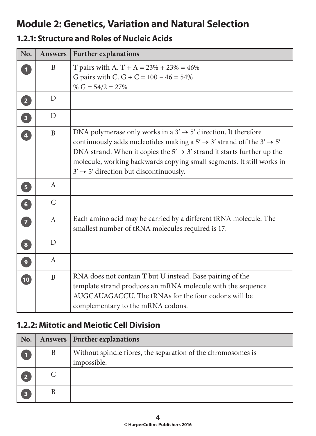## **Module 2: Genetics, Variation and Natural Selection**

#### **1.2.1: Structure and Roles of Nucleic Acids**

| No.                               | <b>Answers</b> | <b>Further explanations</b>                                                                                                                                                                                                                                                                                                                                                                      |
|-----------------------------------|----------------|--------------------------------------------------------------------------------------------------------------------------------------------------------------------------------------------------------------------------------------------------------------------------------------------------------------------------------------------------------------------------------------------------|
| $\mathbf{1}$                      | B              | T pairs with A. T + A = $23\%$ + $23\%$ = 46%<br>G pairs with C. G + C = $100 - 46 = 54\%$<br>% $G = 54/2 = 27%$                                                                                                                                                                                                                                                                                 |
| $\boxed{2}$                       | D              |                                                                                                                                                                                                                                                                                                                                                                                                  |
| $\boxed{3}$                       | $\mathbf{D}$   |                                                                                                                                                                                                                                                                                                                                                                                                  |
| 4                                 | $\overline{B}$ | DNA polymerase only works in a $3' \rightarrow 5'$ direction. It therefore<br>continuously adds nucleotides making a $5' \rightarrow 3'$ strand off the $3' \rightarrow 5'$<br>DNA strand. When it copies the $5' \rightarrow 3'$ strand it starts further up the<br>molecule, working backwards copying small segments. It still works in<br>$3' \rightarrow 5'$ direction but discontinuously. |
| $\begin{bmatrix} 5 \end{bmatrix}$ | $\mathbf{A}$   |                                                                                                                                                                                                                                                                                                                                                                                                  |
| 6                                 | $\mathcal{C}$  |                                                                                                                                                                                                                                                                                                                                                                                                  |
| $\overline{7}$                    | $\mathbf{A}$   | Each amino acid may be carried by a different tRNA molecule. The<br>smallest number of tRNA molecules required is 17.                                                                                                                                                                                                                                                                            |
| $\boxed{8}$                       | D              |                                                                                                                                                                                                                                                                                                                                                                                                  |
| $\left  \mathbf{9} \right $       | $\mathbf{A}$   |                                                                                                                                                                                                                                                                                                                                                                                                  |
| $\boxed{10}$                      | B              | RNA does not contain T but U instead. Base pairing of the<br>template strand produces an mRNA molecule with the sequence<br>AUGCAUAGACCU. The tRNAs for the four codons will be<br>complementary to the mRNA codons.                                                                                                                                                                             |

#### **1.2.2: Mitotic and Meiotic Cell Division**

| No.                     |   | Answers   Further explanations                                              |
|-------------------------|---|-----------------------------------------------------------------------------|
|                         | B | Without spindle fibres, the separation of the chromosomes is<br>impossible. |
| $\overline{\mathbf{2}}$ |   |                                                                             |
| В                       |   |                                                                             |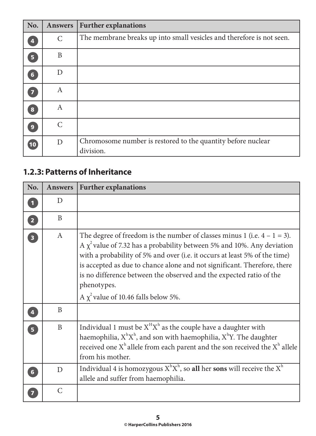| No.                     | <b>Answers</b>   | <b>Further explanations</b>                                               |
|-------------------------|------------------|---------------------------------------------------------------------------|
| $\overline{\mathbf{4}}$ | $\mathsf{C}$     | The membrane breaks up into small vesicles and therefore is not seen.     |
| 5 <sup>1</sup>          | B                |                                                                           |
| $6\phantom{1}$          | D                |                                                                           |
| $\overline{\mathbf{z}}$ | $\mathbf{A}$     |                                                                           |
| 8                       | $\boldsymbol{A}$ |                                                                           |
| $\overline{9}$          | $\mathcal{C}$    |                                                                           |
| 10                      | D                | Chromosome number is restored to the quantity before nuclear<br>division. |

#### **1.2.3: Patterns of Inheritance**

| No.                     | <b>Answers</b> | <b>Further explanations</b>                                                                                                                                                                                                                                                                                                                                                                                                                              |
|-------------------------|----------------|----------------------------------------------------------------------------------------------------------------------------------------------------------------------------------------------------------------------------------------------------------------------------------------------------------------------------------------------------------------------------------------------------------------------------------------------------------|
| $\blacksquare$          | D              |                                                                                                                                                                                                                                                                                                                                                                                                                                                          |
| $\boxed{2}$             | B              |                                                                                                                                                                                                                                                                                                                                                                                                                                                          |
| $\overline{\mathbf{3}}$ | $\mathsf{A}$   | The degree of freedom is the number of classes minus 1 (i.e. $4 - 1 = 3$ ).<br>A $\chi^2$ value of 7.32 has a probability between 5% and 10%. Any deviation<br>with a probability of 5% and over (i.e. it occurs at least 5% of the time)<br>is accepted as due to chance alone and not significant. Therefore, there<br>is no difference between the observed and the expected ratio of the<br>phenotypes.<br>A $\chi^2$ value of 10.46 falls below 5%. |
| $\overline{\mathbf{A}}$ | B              |                                                                                                                                                                                                                                                                                                                                                                                                                                                          |
| $\overline{5}$          | B              | Individual 1 must be $X^H X^h$ as the couple have a daughter with<br>haemophilia, $X^hX^h$ , and son with haemophilia, $X^hY$ . The daughter<br>received one $Xh$ allele from each parent and the son received the $Xh$ allele<br>from his mother.                                                                                                                                                                                                       |
| $6\phantom{1}$          | D              | Individual 4 is homozygous $X^hX^h$ , so all her sons will receive the $X^h$<br>allele and suffer from haemophilia.                                                                                                                                                                                                                                                                                                                                      |
|                         | $\overline{C}$ |                                                                                                                                                                                                                                                                                                                                                                                                                                                          |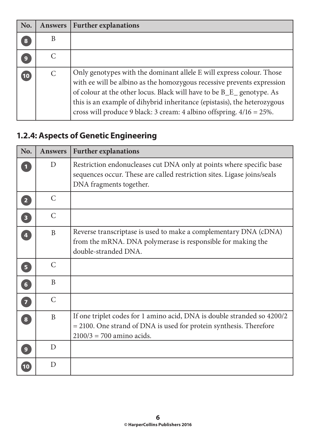| No.              | <b>Answers</b> | <b>Further explanations</b>                                                                                                                                                                                                                                                                                                                                                     |
|------------------|----------------|---------------------------------------------------------------------------------------------------------------------------------------------------------------------------------------------------------------------------------------------------------------------------------------------------------------------------------------------------------------------------------|
| 8                | B              |                                                                                                                                                                                                                                                                                                                                                                                 |
| $\boldsymbol{9}$ |                |                                                                                                                                                                                                                                                                                                                                                                                 |
| 10               | C              | Only genotypes with the dominant allele E will express colour. Those<br>with ee will be albino as the homozygous recessive prevents expression<br>of colour at the other locus. Black will have to be B_E_ genotype. As<br>this is an example of dihybrid inheritance (epistasis), the heterozygous<br>cross will produce 9 black: 3 cream: 4 albino offspring. $4/16 = 25\%$ . |

# **1.2.4: Aspects of Genetic Engineering**

| No.                               | <b>Answers</b> | <b>Further explanations</b>                                                                                                                                                     |
|-----------------------------------|----------------|---------------------------------------------------------------------------------------------------------------------------------------------------------------------------------|
| $\mathbf 1$                       | D              | Restriction endonucleases cut DNA only at points where specific base<br>sequences occur. These are called restriction sites. Ligase joins/seals<br>DNA fragments together.      |
| $\overline{2}$                    | $\mathcal{C}$  |                                                                                                                                                                                 |
| $\overline{\mathbf{3}}$           | $\mathcal{C}$  |                                                                                                                                                                                 |
| $\overline{4}$                    | B              | Reverse transcriptase is used to make a complementary DNA (cDNA)<br>from the mRNA. DNA polymerase is responsible for making the<br>double-stranded DNA.                         |
| $\overline{\mathbf{5}}$           | $\mathcal{C}$  |                                                                                                                                                                                 |
| $\begin{bmatrix} 6 \end{bmatrix}$ | B              |                                                                                                                                                                                 |
| $\bullet$                         | $\mathcal{C}$  |                                                                                                                                                                                 |
| $\sqrt{8}$                        | B              | If one triplet codes for 1 amino acid, DNA is double stranded so 4200/2<br>$= 2100$ . One strand of DNA is used for protein synthesis. Therefore<br>$2100/3 = 700$ amino acids. |
| 9 <sup>°</sup>                    | D              |                                                                                                                                                                                 |
| $\sqrt{10}$                       | D              |                                                                                                                                                                                 |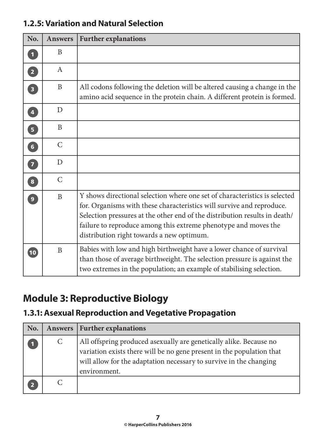| No.                               | <b>Answers</b> | <b>Further explanations</b>                                                                                                                                                                                                                                                                                                                       |
|-----------------------------------|----------------|---------------------------------------------------------------------------------------------------------------------------------------------------------------------------------------------------------------------------------------------------------------------------------------------------------------------------------------------------|
| $\overline{\mathbf{1}}$           | B              |                                                                                                                                                                                                                                                                                                                                                   |
| $\boxed{2}$                       | A              |                                                                                                                                                                                                                                                                                                                                                   |
| $\begin{bmatrix} 3 \end{bmatrix}$ | B              | All codons following the deletion will be altered causing a change in the<br>amino acid sequence in the protein chain. A different protein is formed.                                                                                                                                                                                             |
| $\overline{\mathbf{4}}$           | D              |                                                                                                                                                                                                                                                                                                                                                   |
| $\overline{\mathbf{5}}$           | B              |                                                                                                                                                                                                                                                                                                                                                   |
| $\begin{bmatrix} 6 \end{bmatrix}$ | $\mathcal{C}$  |                                                                                                                                                                                                                                                                                                                                                   |
| $\overline{7}$                    | D              |                                                                                                                                                                                                                                                                                                                                                   |
| $\boxed{8}$                       | $\mathcal{C}$  |                                                                                                                                                                                                                                                                                                                                                   |
| $\overline{9}$                    | B              | Y shows directional selection where one set of characteristics is selected<br>for. Organisms with these characteristics will survive and reproduce.<br>Selection pressures at the other end of the distribution results in death/<br>failure to reproduce among this extreme phenotype and moves the<br>distribution right towards a new optimum. |
| $\boxed{10}$                      | B              | Babies with low and high birthweight have a lower chance of survival<br>than those of average birthweight. The selection pressure is against the<br>two extremes in the population; an example of stabilising selection.                                                                                                                          |

#### **1.2.5: Variation and Natural Selection**

# **Module 3: Reproductive Biology**

#### **1.3.1: Asexual Reproduction and Vegetative Propagation**

| No. |   | Answers   Further explanations                                                                                                                                                                                                    |
|-----|---|-----------------------------------------------------------------------------------------------------------------------------------------------------------------------------------------------------------------------------------|
|     | C | All offspring produced asexually are genetically alike. Because no<br>variation exists there will be no gene present in the population that<br>will allow for the adaptation necessary to survive in the changing<br>environment. |
|     |   |                                                                                                                                                                                                                                   |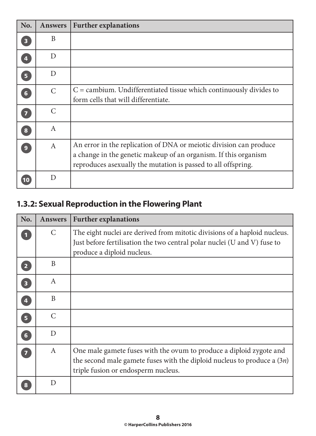| No.                     | <b>Answers</b> | <b>Further explanations</b>                                                                                                                                                                             |
|-------------------------|----------------|---------------------------------------------------------------------------------------------------------------------------------------------------------------------------------------------------------|
| $\overline{\mathbf{3}}$ | B              |                                                                                                                                                                                                         |
| 4                       | D              |                                                                                                                                                                                                         |
| 5 <sup>1</sup>          | D              |                                                                                                                                                                                                         |
| $6\phantom{a}$          | $\mathcal{C}$  | $C =$ cambium. Undifferentiated tissue which continuously divides to<br>form cells that will differentiate.                                                                                             |
| $\overline{\mathbf{z}}$ | $\mathcal{C}$  |                                                                                                                                                                                                         |
| $\bf{8}$                | $\mathbf{A}$   |                                                                                                                                                                                                         |
| $\boldsymbol{9}$        | $\mathbf{A}$   | An error in the replication of DNA or meiotic division can produce<br>a change in the genetic makeup of an organism. If this organism<br>reproduces as exually the mutation is passed to all offspring. |
| 10                      | D              |                                                                                                                                                                                                         |

## **1.3.2: Sexual Reproduction in the Flowering Plant**

| No.                     | <b>Answers</b> | <b>Further explanations</b>                                                                                                                                                             |
|-------------------------|----------------|-----------------------------------------------------------------------------------------------------------------------------------------------------------------------------------------|
|                         | $\mathcal{C}$  | The eight nuclei are derived from mitotic divisions of a haploid nucleus.<br>Just before fertilisation the two central polar nuclei (U and V) fuse to<br>produce a diploid nucleus.     |
| $\overline{2}$          | B              |                                                                                                                                                                                         |
| $\overline{\mathbf{3}}$ | A              |                                                                                                                                                                                         |
| $\overline{\mathbf{A}}$ | B              |                                                                                                                                                                                         |
| 5 <sup>1</sup>          | $\mathcal{C}$  |                                                                                                                                                                                         |
| $6\phantom{a}$          | D              |                                                                                                                                                                                         |
| $\overline{7}$          | $\mathbf{A}$   | One male gamete fuses with the ovum to produce a diploid zygote and<br>the second male gamete fuses with the diploid nucleus to produce a $(3n)$<br>triple fusion or endosperm nucleus. |
| 8                       | D              |                                                                                                                                                                                         |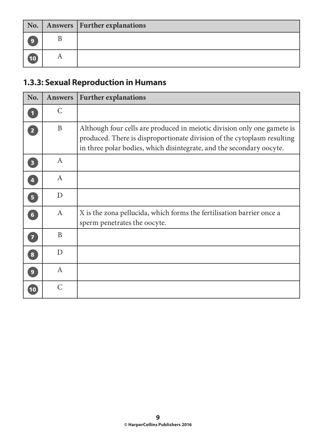|                | No.   Answers   Further explanations |
|----------------|--------------------------------------|
| $\overline{9}$ |                                      |
| (10)           |                                      |

## **1.3.3: Sexual Reproduction in Humans**

| No.                     | <b>Answers</b> | <b>Further explanations</b>                                                                                                                                                                                                |
|-------------------------|----------------|----------------------------------------------------------------------------------------------------------------------------------------------------------------------------------------------------------------------------|
| $\blacksquare$          | $\mathcal{C}$  |                                                                                                                                                                                                                            |
| $\boxed{2}$             | B              | Although four cells are produced in meiotic division only one gamete is<br>produced. There is disproportionate division of the cytoplasm resulting<br>in three polar bodies, which disintegrate, and the secondary oocyte. |
| $\overline{\mathbf{3}}$ | $\mathbf{A}$   |                                                                                                                                                                                                                            |
| $\overline{\mathbf{4}}$ | $\mathbf{A}$   |                                                                                                                                                                                                                            |
| 5 <sup>1</sup>          | D              |                                                                                                                                                                                                                            |
| 6 <sup>1</sup>          | $\mathbf{A}$   | X is the zona pellucida, which forms the fertilisation barrier once a<br>sperm penetrates the oocyte.                                                                                                                      |
| $\overline{7}$          | B              |                                                                                                                                                                                                                            |
| $\bf{8}$                | D              |                                                                                                                                                                                                                            |
| 9 <sup>°</sup>          | $\mathbf{A}$   |                                                                                                                                                                                                                            |
| 10                      | $\mathcal{C}$  |                                                                                                                                                                                                                            |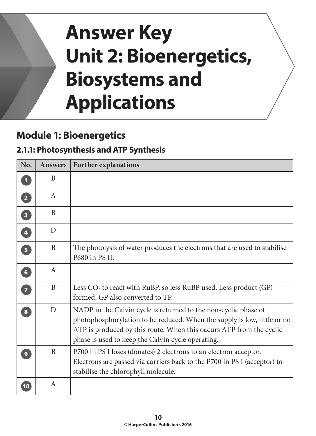# **Answer Key Unit 2: Bioenergetics, Biosystems and Applications**

# **Module 1: Bioenergetics**

#### **2.1.1: Photosynthesis and ATP Synthesis**

| No.                     | <b>Answers</b> | <b>Further explanations</b>                                                                                                                                                                                                                                             |
|-------------------------|----------------|-------------------------------------------------------------------------------------------------------------------------------------------------------------------------------------------------------------------------------------------------------------------------|
| $\mathbf{1}$            | B              |                                                                                                                                                                                                                                                                         |
| $\boxed{2}$             | $\mathsf{A}$   |                                                                                                                                                                                                                                                                         |
| $\overline{\mathbf{3}}$ | B              |                                                                                                                                                                                                                                                                         |
| $\overline{4}$          | D              |                                                                                                                                                                                                                                                                         |
| 5 <sup>1</sup>          | B              | The photolysis of water produces the electrons that are used to stabilise<br>P680 in PS II.                                                                                                                                                                             |
| 6 <sup>1</sup>          | $\mathbf{A}$   |                                                                                                                                                                                                                                                                         |
| $\overline{7}$          | B              | Less $CO2$ to react with RuBP, so less RuBP used. Less product (GP)<br>formed. GP also converted to TP.                                                                                                                                                                 |
| $\overline{\mathbf{8}}$ | D              | NADP in the Calvin cycle is returned to the non-cyclic phase of<br>photophosphorylation to be reduced. When the supply is low, little or no<br>ATP is produced by this route. When this occurs ATP from the cyclic<br>phase is used to keep the Calvin cycle operating. |
| $\overline{9}$          | B              | P700 in PS I loses (donates) 2 electrons to an electron acceptor.<br>Electrons are passed via carriers back to the P700 in PS I (acceptor) to<br>stabilise the chlorophyll molecule.                                                                                    |
| 10                      | $\mathbf{A}$   |                                                                                                                                                                                                                                                                         |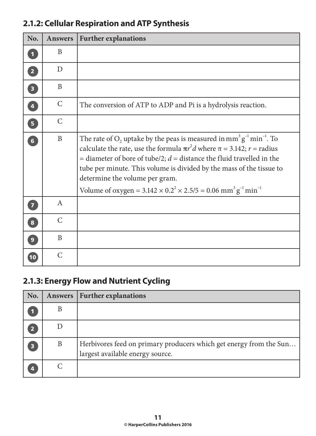| No.                     | <b>Answers</b> | <b>Further explanations</b>                                                                                                                                                                                                                                                                                                                                                                                                                                                                     |
|-------------------------|----------------|-------------------------------------------------------------------------------------------------------------------------------------------------------------------------------------------------------------------------------------------------------------------------------------------------------------------------------------------------------------------------------------------------------------------------------------------------------------------------------------------------|
|                         | B              |                                                                                                                                                                                                                                                                                                                                                                                                                                                                                                 |
| $\overline{2}$          | D              |                                                                                                                                                                                                                                                                                                                                                                                                                                                                                                 |
| $\overline{\mathbf{3}}$ | B              |                                                                                                                                                                                                                                                                                                                                                                                                                                                                                                 |
| $\overline{\mathbf{4}}$ | $\mathcal{C}$  | The conversion of ATP to ADP and Pi is a hydrolysis reaction.                                                                                                                                                                                                                                                                                                                                                                                                                                   |
| 5 <sup>1</sup>          | $\mathcal{C}$  |                                                                                                                                                                                                                                                                                                                                                                                                                                                                                                 |
| 6 <sup>1</sup>          | $\mathbf{B}$   | The rate of $O_2$ uptake by the peas is measured in mm <sup>3</sup> $g^{-1}$ min <sup>-1</sup> . To<br>calculate the rate, use the formula $\pi r^2 d$ where $\pi = 3.142$ ; $r =$ radius<br>= diameter of bore of tube/2; $d$ = distance the fluid travelled in the<br>tube per minute. This volume is divided by the mass of the tissue to<br>determine the volume per gram.<br>Volume of oxygen = $3.142 \times 0.2^2 \times 2.5/5 = 0.06$ mm <sup>3</sup> g <sup>-1</sup> min <sup>-1</sup> |
| $\overline{\mathbf{z}}$ | A              |                                                                                                                                                                                                                                                                                                                                                                                                                                                                                                 |
| $\overline{\mathbf{8}}$ | $\mathcal{C}$  |                                                                                                                                                                                                                                                                                                                                                                                                                                                                                                 |
| 9 <sup>°</sup>          | B              |                                                                                                                                                                                                                                                                                                                                                                                                                                                                                                 |
| 10                      | $\mathcal{C}$  |                                                                                                                                                                                                                                                                                                                                                                                                                                                                                                 |

#### **2.1.2: Cellular Respiration and ATP Synthesis**

#### **2.1.3: Energy Flow and Nutrient Cycling**

| No.                     | Answers | <b>Further explanations</b>                                                                            |
|-------------------------|---------|--------------------------------------------------------------------------------------------------------|
|                         | B       |                                                                                                        |
| 2                       |         |                                                                                                        |
| $\overline{\mathbf{3}}$ | B       | Herbivores feed on primary producers which get energy from the Sun<br>largest available energy source. |
| $\overline{\mathbf{4}}$ |         |                                                                                                        |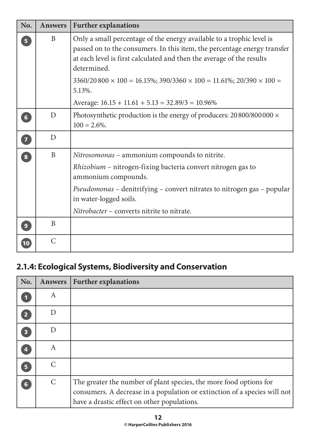| No.                     | <b>Answers</b> | <b>Further explanations</b>                                                                                                                                                                                                                                                                    |
|-------------------------|----------------|------------------------------------------------------------------------------------------------------------------------------------------------------------------------------------------------------------------------------------------------------------------------------------------------|
| 5 <sup>1</sup>          | B              | Only a small percentage of the energy available to a trophic level is<br>passed on to the consumers. In this item, the percentage energy transfer<br>at each level is first calculated and then the average of the results<br>determined.                                                      |
|                         |                | $3360/20800 \times 100 = 16.15\%$ ; $390/3360 \times 100 = 11.61\%$ ; $20/390 \times 100 =$<br>5.13%.                                                                                                                                                                                          |
|                         |                | Average: $16.15 + 11.61 + 5.13 = 32.89/3 = 10.96\%$                                                                                                                                                                                                                                            |
| $6\overline{6}$         | D              | Photosynthetic production is the energy of producers: $20\,800/800\,000 \times$<br>$100 = 2.6\%$ .                                                                                                                                                                                             |
| $\overline{7}$          | D              |                                                                                                                                                                                                                                                                                                |
| $\overline{\mathbf{8}}$ | B              | Nitrosomonas – ammonium compounds to nitrite.<br>Rhizobium – nitrogen-fixing bacteria convert nitrogen gas to<br>ammonium compounds.<br><i>Pseudomonas</i> – denitrifying – convert nitrates to nitrogen gas – popular<br>in water-logged soils.<br>Nitrobacter – converts nitrite to nitrate. |
| 9                       | B              |                                                                                                                                                                                                                                                                                                |
| 10                      | $\mathcal{C}$  |                                                                                                                                                                                                                                                                                                |

## **2.1.4: Ecological Systems, Biodiversity and Conservation**

| No.                     | <b>Answers</b> | <b>Further explanations</b>                                                                                                                                                                    |
|-------------------------|----------------|------------------------------------------------------------------------------------------------------------------------------------------------------------------------------------------------|
|                         | A              |                                                                                                                                                                                                |
| $\overline{2}$          | D              |                                                                                                                                                                                                |
| $\overline{\mathbf{3}}$ | D              |                                                                                                                                                                                                |
| 4                       | A              |                                                                                                                                                                                                |
| 5                       | $\mathcal{C}$  |                                                                                                                                                                                                |
| 6                       | $\mathcal{C}$  | The greater the number of plant species, the more food options for<br>consumers. A decrease in a population or extinction of a species will not<br>have a drastic effect on other populations. |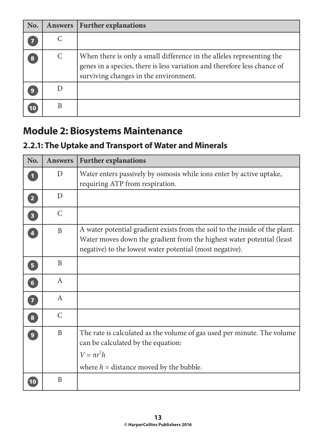| No.                     | <b>Answers</b> | <b>Further explanations</b>                                                                                                                                                                |
|-------------------------|----------------|--------------------------------------------------------------------------------------------------------------------------------------------------------------------------------------------|
| $\overline{\mathbf{z}}$ |                |                                                                                                                                                                                            |
| 8                       | C              | When there is only a small difference in the alleles representing the<br>genes in a species, there is less variation and therefore less chance of<br>surviving changes in the environment. |
| 9                       |                |                                                                                                                                                                                            |
| 10                      |                |                                                                                                                                                                                            |

# **Module 2: Biosystems Maintenance**

## **2.2.1: The Uptake and Transport of Water and Minerals**

| No.                               | <b>Answers</b> | <b>Further explanations</b>                                                                                                                                                                                      |
|-----------------------------------|----------------|------------------------------------------------------------------------------------------------------------------------------------------------------------------------------------------------------------------|
| $\overline{\mathbf{1}}$           | D              | Water enters passively by osmosis while ions enter by active uptake,<br>requiring ATP from respiration.                                                                                                          |
| $\mathbf{2}$                      | D              |                                                                                                                                                                                                                  |
| $\begin{bmatrix} 3 \end{bmatrix}$ | $\mathcal{C}$  |                                                                                                                                                                                                                  |
| $\overline{4}$                    | B              | A water potential gradient exists from the soil to the inside of the plant.<br>Water moves down the gradient from the highest water potential (least<br>negative) to the lowest water potential (most negative). |
| $\overline{\mathbf{5}}$           | B              |                                                                                                                                                                                                                  |
| $\begin{bmatrix} 6 \end{bmatrix}$ | A              |                                                                                                                                                                                                                  |
| 7                                 | $\mathbf{A}$   |                                                                                                                                                                                                                  |
| $\sqrt{8}$                        | $\mathcal{C}$  |                                                                                                                                                                                                                  |
| $\overline{9}$                    | B              | The rate is calculated as the volume of gas used per minute. The volume<br>can be calculated by the equation:<br>$V = \pi r^2 h$<br>where $h =$ distance moved by the bubble.                                    |
| 10                                | B              |                                                                                                                                                                                                                  |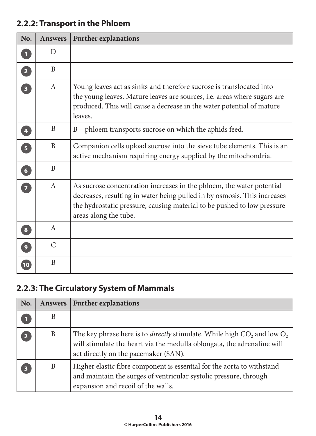# **No. Answers Further explanations <sup>1</sup>** D **<sup>2</sup>** B **3** A Young leaves act as sinks and therefore sucrose is translocated into the young leaves. Mature leaves are sources, i.e. areas where sugars are produced. This will cause a decrease in the water potential of mature leaves. **4** B B B – phloem transports sucrose on which the aphids feed. **5** B Companion cells upload sucrose into the sieve tube elements. This is an active mechanism requiring energy supplied by the mitochondria. **<sup>6</sup>** B **7** A As sucrose concentration increases in the phloem, the water potential decreases, resulting in water being pulled in by osmosis. This increases the hydrostatic pressure, causing material to be pushed to low pressure areas along the tube. **<sup>8</sup>** A **<sup>9</sup>** C **<sup>10</sup>** B

#### **2.2.2: Transport in the Phloem**

#### **2.2.3: The Circulatory System of Mammals**

| No.                     | <b>Answers</b> | <b>Further explanations</b>                                                                                                                                                                             |
|-------------------------|----------------|---------------------------------------------------------------------------------------------------------------------------------------------------------------------------------------------------------|
|                         | B              |                                                                                                                                                                                                         |
| 2                       | B              | The key phrase here is to <i>directly</i> stimulate. While high $CO_2$ and low $O_2$<br>will stimulate the heart via the medulla oblongata, the adrenaline will<br>act directly on the pacemaker (SAN). |
| $\overline{\mathbf{3}}$ | B              | Higher elastic fibre component is essential for the aorta to withstand<br>and maintain the surges of ventricular systolic pressure, through<br>expansion and recoil of the walls.                       |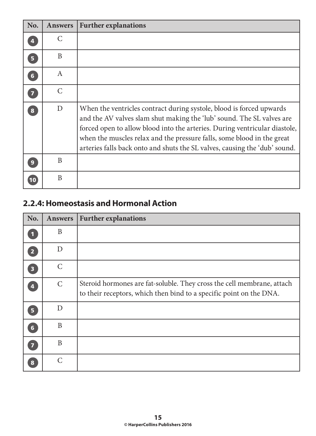| No.            | <b>Answers</b> | <b>Further explanations</b>                                                                                                                                                                                                                                                                                                                                                         |
|----------------|----------------|-------------------------------------------------------------------------------------------------------------------------------------------------------------------------------------------------------------------------------------------------------------------------------------------------------------------------------------------------------------------------------------|
|                | C              |                                                                                                                                                                                                                                                                                                                                                                                     |
| 5 <sup>1</sup> | B              |                                                                                                                                                                                                                                                                                                                                                                                     |
| $6\phantom{1}$ | A              |                                                                                                                                                                                                                                                                                                                                                                                     |
| $\overline{7}$ | $\mathcal{C}$  |                                                                                                                                                                                                                                                                                                                                                                                     |
| 8              | D              | When the ventricles contract during systole, blood is forced upwards<br>and the AV valves slam shut making the 'lub' sound. The SL valves are<br>forced open to allow blood into the arteries. During ventricular diastole,<br>when the muscles relax and the pressure falls, some blood in the great<br>arteries falls back onto and shuts the SL valves, causing the 'dub' sound. |
| 9              | B              |                                                                                                                                                                                                                                                                                                                                                                                     |
| 10             | B              |                                                                                                                                                                                                                                                                                                                                                                                     |

#### **2.2.4: Homeostasis and Hormonal Action**

| No.                     | <b>Answers</b>              | <b>Further explanations</b>                                                                                                                   |
|-------------------------|-----------------------------|-----------------------------------------------------------------------------------------------------------------------------------------------|
| 1                       | B                           |                                                                                                                                               |
| $\overline{2}$          | D                           |                                                                                                                                               |
| $\overline{\mathbf{3}}$ | $\mathcal{C}$               |                                                                                                                                               |
| $\overline{\mathbf{A}}$ | $\mathcal{C}$               | Steroid hormones are fat-soluble. They cross the cell membrane, attach<br>to their receptors, which then bind to a specific point on the DNA. |
| 5 <sup>1</sup>          | D                           |                                                                                                                                               |
| $6\phantom{a}$          | B                           |                                                                                                                                               |
| $\overline{\mathbf{z}}$ | B                           |                                                                                                                                               |
| 8                       | $\mathcal{C}_{\mathcal{C}}$ |                                                                                                                                               |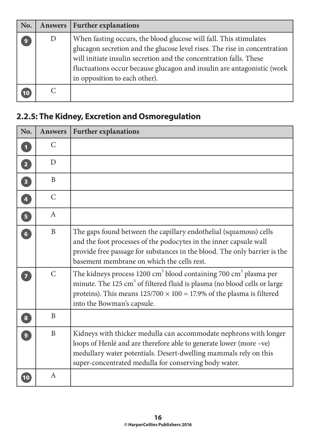| No. | Answers      | <b>Further explanations</b>                                                                                                                                                                                                                                                                                                     |
|-----|--------------|---------------------------------------------------------------------------------------------------------------------------------------------------------------------------------------------------------------------------------------------------------------------------------------------------------------------------------|
| 9   | $\mathbf{D}$ | When fasting occurs, the blood glucose will fall. This stimulates<br>glucagon secretion and the glucose level rises. The rise in concentration<br>will initiate insulin secretion and the concentration falls. These<br>fluctuations occur because glucagon and insulin are antagonistic (work<br>in opposition to each other). |
|     |              |                                                                                                                                                                                                                                                                                                                                 |

## **2.2.5: The Kidney, Excretion and Osmoregulation**

| No.                               | <b>Answers</b> | <b>Further explanations</b>                                                                                                                                                                                                                                                                     |
|-----------------------------------|----------------|-------------------------------------------------------------------------------------------------------------------------------------------------------------------------------------------------------------------------------------------------------------------------------------------------|
| $\overline{\mathbf{1}}$           | C              |                                                                                                                                                                                                                                                                                                 |
| $\boxed{2}$                       | D              |                                                                                                                                                                                                                                                                                                 |
| $\begin{bmatrix} 3 \end{bmatrix}$ | B              |                                                                                                                                                                                                                                                                                                 |
| 4                                 | $\mathcal{C}$  |                                                                                                                                                                                                                                                                                                 |
| $\overline{\mathbf{5}}$           | $\mathbf{A}$   |                                                                                                                                                                                                                                                                                                 |
| $\begin{bmatrix} 6 \end{bmatrix}$ | B              | The gaps found between the capillary endothelial (squamous) cells<br>and the foot processes of the podocytes in the inner capsule wall<br>provide free passage for substances in the blood. The only barrier is the<br>basement membrane on which the cells rest.                               |
| $\overline{7}$                    | $\mathcal{C}$  | The kidneys process 1200 cm <sup>3</sup> blood containing 700 cm <sup>3</sup> plasma per<br>minute. The 125 cm <sup>3</sup> of filtered fluid is plasma (no blood cells or large<br>proteins). This means $125/700 \times 100 = 17.9\%$ of the plasma is filtered<br>into the Bowman's capsule. |
| $\overline{\mathbf{8}}$           | B              |                                                                                                                                                                                                                                                                                                 |
| $\overline{9}$                    | $\mathbf{B}$   | Kidneys with thicker medulla can accommodate nephrons with longer<br>loops of Henlé and are therefore able to generate lower (more -ve)<br>medullary water potentials. Desert-dwelling mammals rely on this<br>super-concentrated medulla for conserving body water.                            |
| 10                                | $\mathbf{A}$   |                                                                                                                                                                                                                                                                                                 |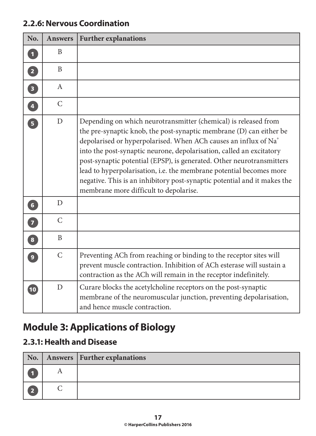| No.                     | <b>Answers</b> | <b>Further explanations</b>                                                                                                                                                                                                                                                                                                                                                                                                                                                                                                                                         |
|-------------------------|----------------|---------------------------------------------------------------------------------------------------------------------------------------------------------------------------------------------------------------------------------------------------------------------------------------------------------------------------------------------------------------------------------------------------------------------------------------------------------------------------------------------------------------------------------------------------------------------|
| $\mathbf{1}$            | B              |                                                                                                                                                                                                                                                                                                                                                                                                                                                                                                                                                                     |
| $\overline{2}$          | B              |                                                                                                                                                                                                                                                                                                                                                                                                                                                                                                                                                                     |
| $\overline{\mathbf{3}}$ | A              |                                                                                                                                                                                                                                                                                                                                                                                                                                                                                                                                                                     |
| $\overline{4}$          | $\mathcal{C}$  |                                                                                                                                                                                                                                                                                                                                                                                                                                                                                                                                                                     |
| $\overline{5}$          | D              | Depending on which neurotransmitter (chemical) is released from<br>the pre-synaptic knob, the post-synaptic membrane (D) can either be<br>depolarised or hyperpolarised. When ACh causes an influx of Na <sup>+</sup><br>into the post-synaptic neurone, depolarisation, called an excitatory<br>post-synaptic potential (EPSP), is generated. Other neurotransmitters<br>lead to hyperpolarisation, i.e. the membrane potential becomes more<br>negative. This is an inhibitory post-synaptic potential and it makes the<br>membrane more difficult to depolarise. |
| 6 <sup>1</sup>          | D              |                                                                                                                                                                                                                                                                                                                                                                                                                                                                                                                                                                     |
| $\overline{7}$          | $\mathsf{C}$   |                                                                                                                                                                                                                                                                                                                                                                                                                                                                                                                                                                     |
| $\boxed{8}$             | B              |                                                                                                                                                                                                                                                                                                                                                                                                                                                                                                                                                                     |
| $\overline{9}$          | $\mathcal{C}$  | Preventing ACh from reaching or binding to the receptor sites will<br>prevent muscle contraction. Inhibition of ACh esterase will sustain a<br>contraction as the ACh will remain in the receptor indefinitely.                                                                                                                                                                                                                                                                                                                                                     |
| $\boxed{10}$            | D              | Curare blocks the acetylcholine receptors on the post-synaptic<br>membrane of the neuromuscular junction, preventing depolarisation,<br>and hence muscle contraction.                                                                                                                                                                                                                                                                                                                                                                                               |

#### **2.2.6: Nervous Coordination**

# **Module 3: Applications of Biology**

#### **2.3.1: Health and Disease**

| $\mid$ No. $\mid$       |   | Answers   Further explanations |
|-------------------------|---|--------------------------------|
|                         | A |                                |
| $\overline{\mathbf{2}}$ |   |                                |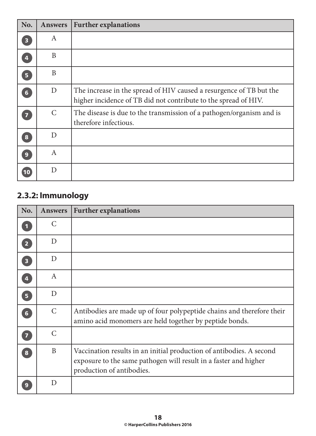| No.                     | <b>Answers</b>   | <b>Further explanations</b>                                                                                                            |
|-------------------------|------------------|----------------------------------------------------------------------------------------------------------------------------------------|
| $\overline{\mathbf{3}}$ | $\boldsymbol{A}$ |                                                                                                                                        |
| $\overline{\mathbf{4}}$ | B                |                                                                                                                                        |
| 5 <sup>1</sup>          | B                |                                                                                                                                        |
| $6\phantom{1}$          | D                | The increase in the spread of HIV caused a resurgence of TB but the<br>higher incidence of TB did not contribute to the spread of HIV. |
| 7                       | $\mathcal{C}$    | The disease is due to the transmission of a pathogen/organism and is<br>therefore infectious.                                          |
| 8                       | D                |                                                                                                                                        |
| $\boldsymbol{9}$        | $\boldsymbol{A}$ |                                                                                                                                        |
| 10                      | D                |                                                                                                                                        |

## **2.3.2: Immunology**

| No.                     | <b>Answers</b> | <b>Further explanations</b>                                                                                                                                           |
|-------------------------|----------------|-----------------------------------------------------------------------------------------------------------------------------------------------------------------------|
|                         | C              |                                                                                                                                                                       |
| $\overline{2}$          | D              |                                                                                                                                                                       |
| $\overline{\mathbf{3}}$ | D              |                                                                                                                                                                       |
| $\overline{\mathbf{4}}$ | $\mathbf{A}$   |                                                                                                                                                                       |
| 5 <sup>1</sup>          | D              |                                                                                                                                                                       |
| $6\phantom{1}$          | $\mathsf{C}$   | Antibodies are made up of four polypeptide chains and therefore their<br>amino acid monomers are held together by peptide bonds.                                      |
| $\overline{7}$          | $\mathcal{C}$  |                                                                                                                                                                       |
| 8                       | $\mathbf{B}$   | Vaccination results in an initial production of antibodies. A second<br>exposure to the same pathogen will result in a faster and higher<br>production of antibodies. |
| 9                       | D              |                                                                                                                                                                       |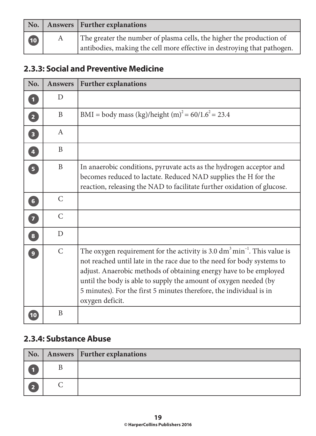|    |   | No.   Answers   Further explanations                                                                                                            |
|----|---|-------------------------------------------------------------------------------------------------------------------------------------------------|
| 10 | A | The greater the number of plasma cells, the higher the production of<br>antibodies, making the cell more effective in destroying that pathogen. |

#### **2.3.3: Social and Preventive Medicine**

| No.                     | <b>Answers</b> | <b>Further explanations</b>                                                                                                                                                                                                                                                                                                                                                                               |
|-------------------------|----------------|-----------------------------------------------------------------------------------------------------------------------------------------------------------------------------------------------------------------------------------------------------------------------------------------------------------------------------------------------------------------------------------------------------------|
| $\overline{\mathbf{1}}$ | D              |                                                                                                                                                                                                                                                                                                                                                                                                           |
| $\overline{2}$          | B              | BMI = body mass (kg)/height (m) <sup>2</sup> = 60/1.6 <sup>2</sup> = 23.4                                                                                                                                                                                                                                                                                                                                 |
| $\overline{\mathbf{3}}$ | A              |                                                                                                                                                                                                                                                                                                                                                                                                           |
| $\overline{4}$          | B              |                                                                                                                                                                                                                                                                                                                                                                                                           |
| $\overline{\mathbf{5}}$ | B              | In anaerobic conditions, pyruvate acts as the hydrogen acceptor and<br>becomes reduced to lactate. Reduced NAD supplies the H for the<br>reaction, releasing the NAD to facilitate further oxidation of glucose.                                                                                                                                                                                          |
| 6 <sup>1</sup>          | $\mathsf{C}$   |                                                                                                                                                                                                                                                                                                                                                                                                           |
| $\overline{7}$          | $\mathcal{C}$  |                                                                                                                                                                                                                                                                                                                                                                                                           |
| $\bullet$               | D              |                                                                                                                                                                                                                                                                                                                                                                                                           |
| $\overline{9}$          | $\mathcal{C}$  | The oxygen requirement for the activity is 3.0 $\text{dm}^3 \text{min}^{-1}$ . This value is<br>not reached until late in the race due to the need for body systems to<br>adjust. Anaerobic methods of obtaining energy have to be employed<br>until the body is able to supply the amount of oxygen needed (by<br>5 minutes). For the first 5 minutes therefore, the individual is in<br>oxygen deficit. |
| 10                      | B              |                                                                                                                                                                                                                                                                                                                                                                                                           |

#### **2.3.4: Substance Abuse**

|            | No.   Answers   Further explanations |
|------------|--------------------------------------|
|            |                                      |
| $\sqrt{2}$ |                                      |